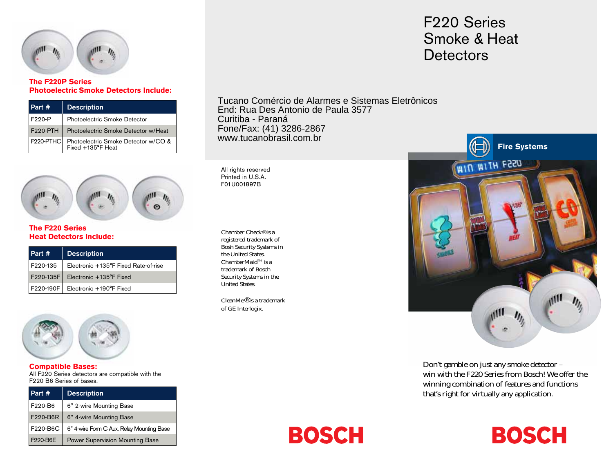

### **The F220P Series Photoelectric Smoke Detectors Include:**

| Part #                 | <b>Description</b>                                       |
|------------------------|----------------------------------------------------------|
| F220-P                 | Photoelectric Smoke Detector                             |
| <b>F220-PTH</b>        | Photoelectric Smoke Detector w/Heat                      |
| F <sub>220</sub> -PTHC | Photoelectric Smoke Detector w/CO &<br>Fixed +135°F Heat |



### **The F220 Series Heat Detectors Include:**

| Part #    | <b>Description</b>                   |
|-----------|--------------------------------------|
| F220-135  | Electronic +135°F Fixed Rate-of-rise |
|           | F220-135F   Electronic +135°F Fixed  |
| F220-190F | Electronic +190°F Fixed              |



#### **Compatible Bases:**

All F220 Series detectors are compatible with the F220 B6 Series of bases.

| Part #   | <b>Description</b>                        |
|----------|-------------------------------------------|
| F220-B6  | 6" 2-wire Mounting Base                   |
| F220-B6R | 6" 4-wire Mounting Base                   |
| F220-B6C | 6" 4-wire Form C Aux. Relay Mounting Base |
| F220-B6E | Power Supervision Mounting Base           |

Tucano Comércio de Alarmes e Sistemas Eletrônicos End: Rua Des Antonio de Paula 3577 Curitiba - Paraná Fone/Fax: (41) 3286-2867 www.tucanobrasil.com.br

All rights reserved Printed in U.S.A. F01U001897B

Chamber Check® is a registered trademark of Bosh Security Systems in the United States. ChamberMaid<sup>™</sup> is a trademark of Bosch Security Systems in the United States.

CleanMe® is a trademark of GE Interlogix.

### F220 Series Smoke & Heat **Detectors**



Don't gamble on just any smoke detector – win with the F220 Series from Bosch! We offer the winning combination of features and functions that's right for virtually any application.

**BOSCH** 

# **BOSCH**